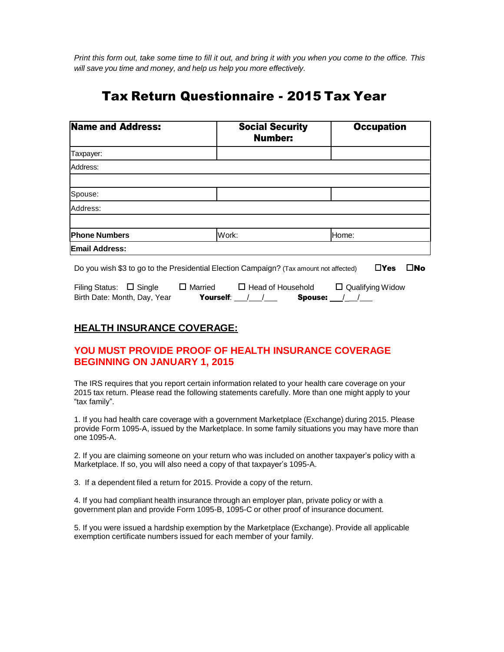Print this form out, take some time to fill it out, and bring it with you when you come to the office. This *will save you time and money, and help us help you more effectively.*

# Tax Return Questionnaire - 2015 Tax Year

| <b>Name and Address:</b> | <b>Social Security</b><br><b>Number:</b> | <b>Occupation</b> |
|--------------------------|------------------------------------------|-------------------|
| Taxpayer:                |                                          |                   |
| Address:                 |                                          |                   |
|                          |                                          |                   |
| Spouse:                  |                                          |                   |
| Address:                 |                                          |                   |
|                          |                                          |                   |
| <b>Phone Numbers</b>     | Work:                                    | Home:             |
| <b>Email Address:</b>    |                                          |                   |

Do you wish \$3 to go to the Presidential Election Campaign? (Tax amount not affected)  $\square$  Yes  $\square$  No

| Filing Status: $\Box$ Single | $\Box$ Married | $\Box$ Head of Household |         | $\Box$ Qualifying Widow |
|------------------------------|----------------|--------------------------|---------|-------------------------|
| Birth Date: Month, Day, Year | Yourself:      |                          | Spouse: |                         |

# **HEALTH INSURANCE COVERAGE:**

# **YOU MUST PROVIDE PROOF OF HEALTH INSURANCE COVERAGE BEGINNING ON JANUARY 1, 2015**

The IRS requires that you report certain information related to your health care coverage on your 2015 tax return. Please read the following statements carefully. More than one might apply to your "tax family".

1. If you had health care coverage with a government Marketplace (Exchange) during 2015. Please provide Form 1095-A, issued by the Marketplace. In some family situations you may have more than one 1095-A.

2. If you are claiming someone on your return who was included on another taxpayer's policy with a Marketplace. If so, you will also need a copy of that taxpayer's 1095-A.

3. If a dependent filed a return for 2015. Provide a copy of the return.

4. If you had compliant health insurance through an employer plan, private policy or with a government plan and provide Form 1095-B, 1095-C or other proof of insurance document.

5. If you were issued a hardship exemption by the Marketplace (Exchange). Provide all applicable exemption certificate numbers issued for each member of your family.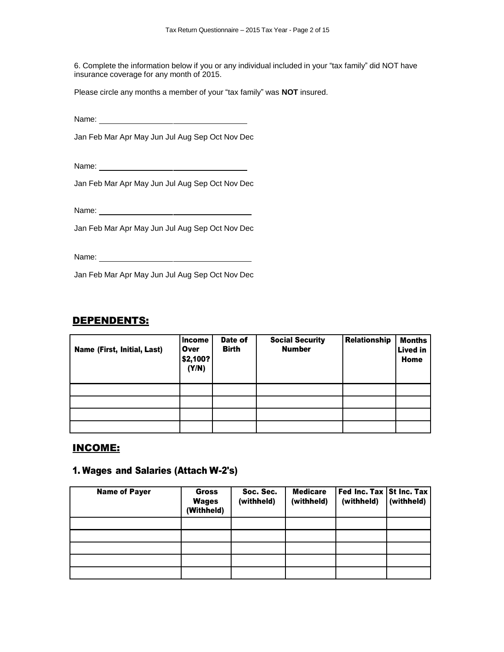6. Complete the information below if you or any individual included in your "tax family" did NOT have insurance coverage for any month of 2015.

Please circle any months a member of your "tax family" was **NOT** insured.

Name:

Jan Feb Mar Apr May Jun Jul Aug Sep Oct Nov Dec

Name:

Jan Feb Mar Apr May Jun Jul Aug Sep Oct Nov Dec

Name:

Jan Feb Mar Apr May Jun Jul Aug Sep Oct Nov Dec

Name:

Jan Feb Mar Apr May Jun Jul Aug Sep Oct Nov Dec

#### DEPENDENTS:

| Name (First, Initial, Last) | Income<br>Over<br>\$2,100?<br>(Y/N) | Date of<br><b>Birth</b> | <b>Social Security</b><br><b>Number</b> | Relationship | <b>Months</b><br><b>Lived in</b><br>Home |
|-----------------------------|-------------------------------------|-------------------------|-----------------------------------------|--------------|------------------------------------------|
|                             |                                     |                         |                                         |              |                                          |
|                             |                                     |                         |                                         |              |                                          |
|                             |                                     |                         |                                         |              |                                          |
|                             |                                     |                         |                                         |              |                                          |

#### INCOME:

#### 1. Wages and Salaries (Attach W-2's)

| <b>Name of Payer</b> | Gross<br><b>Wages</b><br>(Withheld) | Soc. Sec.<br>(withheld) | <b>Medicare</b><br>(withheld) | Fed Inc. Tax St Inc. Tax<br>(withheld) | (withheld) |
|----------------------|-------------------------------------|-------------------------|-------------------------------|----------------------------------------|------------|
|                      |                                     |                         |                               |                                        |            |
|                      |                                     |                         |                               |                                        |            |
|                      |                                     |                         |                               |                                        |            |
|                      |                                     |                         |                               |                                        |            |
|                      |                                     |                         |                               |                                        |            |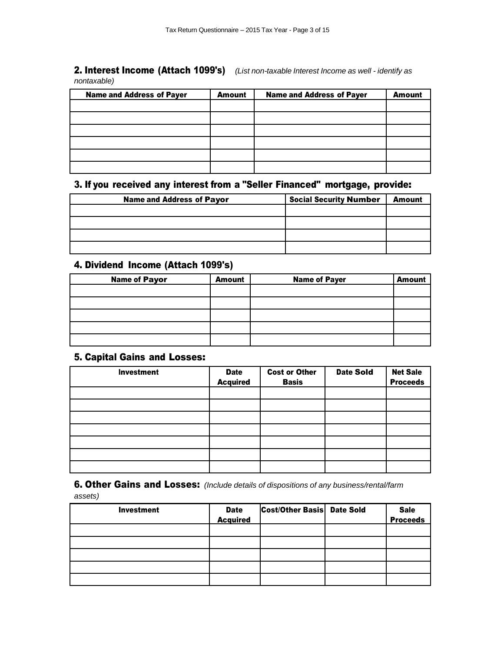#### 2. Interest Income (Attach 1099's) *(List non-taxable Interest Income as well - identify as nontaxable)*

| <b>Name and Address of Payer</b> | <b>Amount</b> | <b>Name and Address of Payer</b> | <b>Amount</b> |
|----------------------------------|---------------|----------------------------------|---------------|
|                                  |               |                                  |               |
|                                  |               |                                  |               |
|                                  |               |                                  |               |
|                                  |               |                                  |               |
|                                  |               |                                  |               |
|                                  |               |                                  |               |

# 3. If you received any interest from a "Seller Financed" mortgage, provide:

| <b>Name and Address of Payor</b> | <b>Social Security Number</b> | <b>Amount</b> |
|----------------------------------|-------------------------------|---------------|
|                                  |                               |               |
|                                  |                               |               |
|                                  |                               |               |
|                                  |                               |               |

# 4. Dividend Income (Attach 1099's)

| <b>Name of Payor</b> | <b>Amount</b> | <b>Name of Payer</b> | <b>Amount</b> |
|----------------------|---------------|----------------------|---------------|
|                      |               |                      |               |
|                      |               |                      |               |
|                      |               |                      |               |
|                      |               |                      |               |
|                      |               |                      |               |

#### 5. Capital Gains and Losses:

| <b>Investment</b> | <b>Date</b><br><b>Acquired</b> | <b>Cost or Other</b><br><b>Basis</b> | <b>Date Sold</b> | <b>Net Sale</b><br><b>Proceeds</b> |
|-------------------|--------------------------------|--------------------------------------|------------------|------------------------------------|
|                   |                                |                                      |                  |                                    |
|                   |                                |                                      |                  |                                    |
|                   |                                |                                      |                  |                                    |
|                   |                                |                                      |                  |                                    |
|                   |                                |                                      |                  |                                    |
|                   |                                |                                      |                  |                                    |
|                   |                                |                                      |                  |                                    |

6. Other Gains and Losses: *(Include details of dispositions of any business/rental/farm assets)*

| <b>Investment</b> | Date<br>Acquired | <b>Cost/Other Basis Date Sold</b> | Sale<br>Proceeds |
|-------------------|------------------|-----------------------------------|------------------|
|                   |                  |                                   |                  |
|                   |                  |                                   |                  |
|                   |                  |                                   |                  |
|                   |                  |                                   |                  |
|                   |                  |                                   |                  |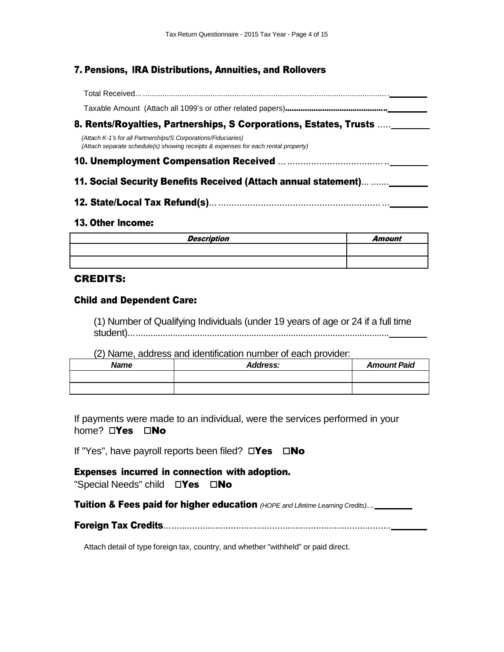## 7. Pensions, IRA Distributions, Annuities, and Rollovers

Total Received... .................................................................................................................

Taxable Amount (Attach all 1099's or other related papers)...............................................

## 8. Rents/Royalties, Partnerships, S Corporations, Estates, Trusts .....

*(Attach K-1's for all Partnerships/S Corporations/Fiduciaries) (Attach separate schedule(s) showing receipts & expenses for each rental property)*

### 10. Unemployment Compensation Received .........................................

#### 11. Social Security Benefits Received (Attach annual statement)... .......

12. State/Local Tax Refund(s)...................................................................

#### 13. Other Income:

| <b>Description</b> | Amount |
|--------------------|--------|
|                    |        |
|                    |        |

#### CREDITS:

#### Child and Dependent Care:

(1) Number of Qualifying Individuals (under 19 years of age or 24 if a full time student)..........................................................................................................

(2) Name, address and identification number of each provider:

| <b>Name</b> | <b>Address:</b> | <b>Amount Paid</b> |
|-------------|-----------------|--------------------|
|             |                 |                    |
|             |                 |                    |

If payments were made to an individual, were the services performed in your home?  $\square$ Yes  $\square$ No

If "Yes", have payroll reports been filed?  $\square$ Yes  $\square$ No

#### Expenses incurred in connection with adoption. "Special Needs" child  $\Box$ Yes  $\Box$ No

Tuition & Fees paid for higher education *(HOPE and Lifetime Learning Credits)....*

Foreign Tax Credits........................................................................................

Attach detail of type foreign tax, country, and whether "withheld" or paid direct.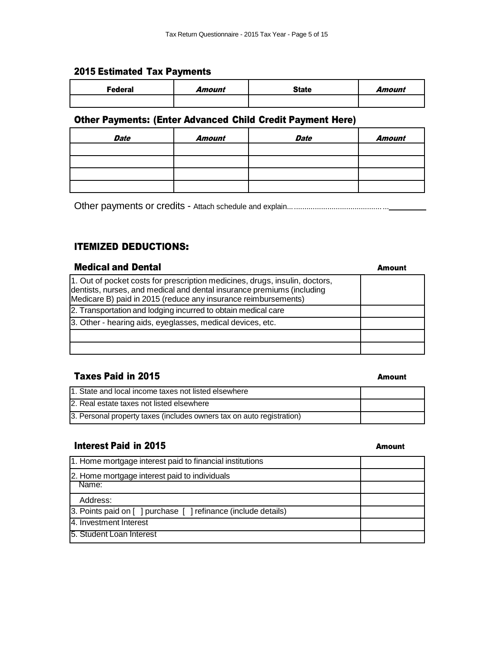#### 2015 Estimated Tax Payments

| <b>Federal</b> | Amount | <b>State</b> | Amount |
|----------------|--------|--------------|--------|
|                |        |              |        |

#### Other Payments: (Enter Advanced Child Credit Payment Here)

| <b>Date</b> | <b>Amount</b> | <b>Date</b> | Amount |
|-------------|---------------|-------------|--------|
|             |               |             |        |
|             |               |             |        |
|             |               |             |        |
|             |               |             |        |

Other payments or credits - Attach schedule and explain................................................

## ITEMIZED DEDUCTIONS:

# **Medical and Dental Amount Amount Amount Amount Amount Amount Amount Amount Amount Amount Amount Amount Amount Amount Amount Amount Amount Amount Amount Amount Amount Amount Amount Amount Amount Amount Amount Amount Amount** 1. Out of pocket costs for prescription medicines, drugs, insulin, doctors, dentists, nurses, and medical and dental insurance premiums (including Medicare B) paid in 2015 (reduce any insurance reimbursements) 2. Transportation and lodging incurred to obtain medical care 3. Other - hearing aids, eyeglasses, medical devices, etc.

#### Taxes Paid in 2015

| 1. State and local income taxes not listed elsewhere                  |  |
|-----------------------------------------------------------------------|--|
| 2. Real estate taxes not listed elsewhere                             |  |
| 3. Personal property taxes (includes owners tax on auto registration) |  |

#### **Interest Paid in 2015** Amount

| 1. Home mortgage interest paid to financial institutions       |  |
|----------------------------------------------------------------|--|
| 2. Home mortgage interest paid to individuals<br>Name:         |  |
|                                                                |  |
| Address:                                                       |  |
| 3. Points paid on [ ] purchase [ ] refinance (include details) |  |
| 4. Investment Interest                                         |  |
| 5. Student Loan Interest                                       |  |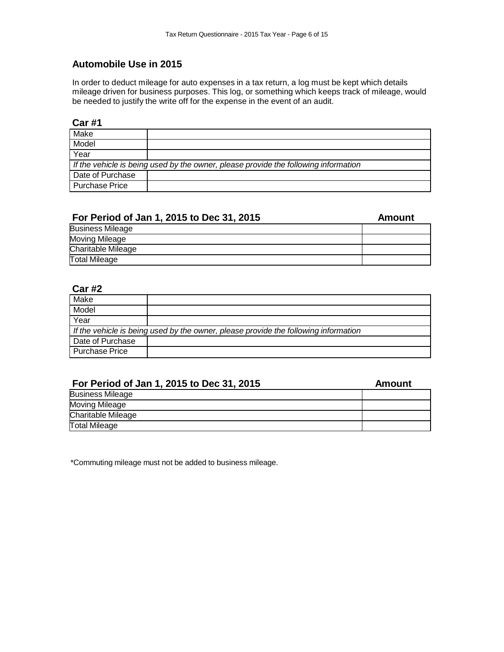#### **Automobile Use in 2015**

In order to deduct mileage for auto expenses in a tax return, a log must be kept which details mileage driven for business purposes. This log, or something which keeps track of mileage, would be needed to justify the write off for the expense in the event of an audit.

#### **Car #1**

| Make                                                                                |  |  |
|-------------------------------------------------------------------------------------|--|--|
| Model                                                                               |  |  |
| Year                                                                                |  |  |
| If the vehicle is being used by the owner, please provide the following information |  |  |
| Date of Purchase                                                                    |  |  |
| <b>Purchase Price</b>                                                               |  |  |

# **For Period of Jan 1, 2015 to Dec 31, 2015 Amount**

| <b>Business Mileage</b>   |  |
|---------------------------|--|
| Moving Mileage            |  |
| <b>Charitable Mileage</b> |  |
| <b>Total Mileage</b>      |  |

#### **Car #2**

| Make                                                                                |  |  |
|-------------------------------------------------------------------------------------|--|--|
| Model                                                                               |  |  |
| Year                                                                                |  |  |
| If the vehicle is being used by the owner, please provide the following information |  |  |
| Date of Purchase                                                                    |  |  |
| Purchase Price                                                                      |  |  |

#### **For Period of Jan 1, 2015 to Dec 31, 2015 Amount**

| <b>Business Mileage</b> |  |
|-------------------------|--|
| Moving Mileage          |  |
| Charitable Mileage      |  |
| <b>Total Mileage</b>    |  |

\*Commuting mileage must not be added to business mileage.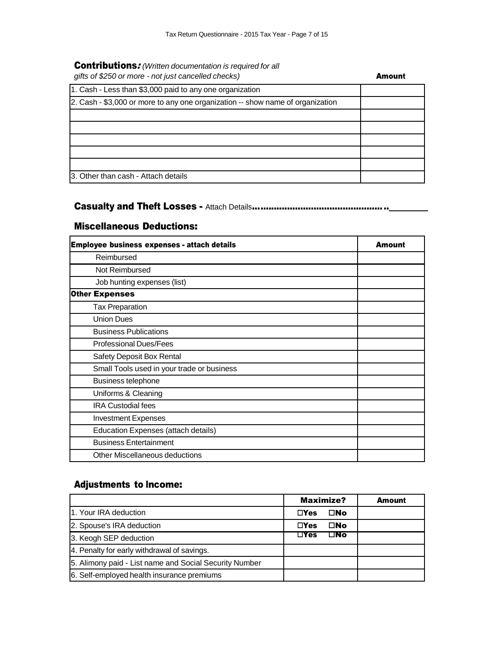# Contributions: *(Written documentation is required for all*

| gifts of \$250 or more - not just cancelled checks)                            | Amount |
|--------------------------------------------------------------------------------|--------|
| 1. Cash - Less than \$3,000 paid to any one organization                       |        |
| 2. Cash - \$3,000 or more to any one organization -- show name of organization |        |
|                                                                                |        |
|                                                                                |        |
|                                                                                |        |
|                                                                                |        |
|                                                                                |        |
| 3. Other than cash - Attach details                                            |        |

## Casualty and Theft Losses - Attach Details...................................................

#### Miscellaneous Deductions:

| Employee business expenses - attach details | Amount |
|---------------------------------------------|--------|
| Reimbursed                                  |        |
| Not Reimbursed                              |        |
| Job hunting expenses (list)                 |        |
| <b>Other Expenses</b>                       |        |
| <b>Tax Preparation</b>                      |        |
| <b>Union Dues</b>                           |        |
| <b>Business Publications</b>                |        |
| <b>Professional Dues/Fees</b>               |        |
| Safety Deposit Box Rental                   |        |
| Small Tools used in your trade or business  |        |
| Business telephone                          |        |
| Uniforms & Cleaning                         |        |
| <b>IRA Custodial fees</b>                   |        |
| <b>Investment Expenses</b>                  |        |
| Education Expenses (attach details)         |        |
| <b>Business Entertainment</b>               |        |
| Other Miscellaneous deductions              |        |

# Adjustments to Income:

|                                                        | Maximize?                  | <b>Amount</b> |
|--------------------------------------------------------|----------------------------|---------------|
| 1. Your IRA deduction                                  | □No<br>$\Box$ Yes          |               |
| 2. Spouse's IRA deduction                              | □No<br>$\Box$ Yes          |               |
| 3. Keogh SEP deduction                                 | $\square$ No<br>$\Box$ Yes |               |
| 4. Penalty for early withdrawal of savings.            |                            |               |
| 5. Alimony paid - List name and Social Security Number |                            |               |
| 6. Self-employed health insurance premiums             |                            |               |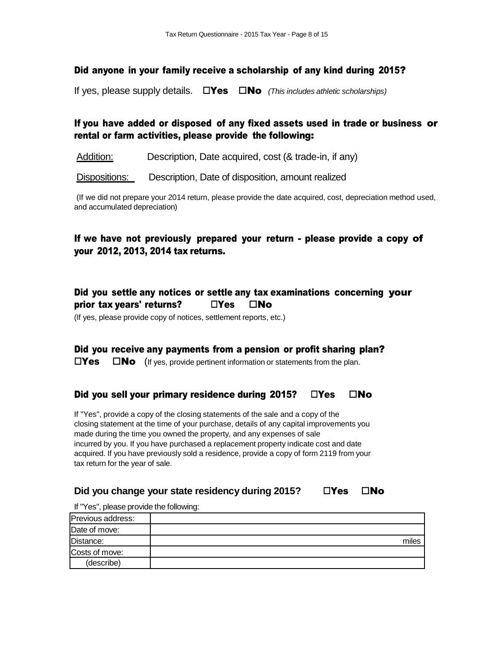#### Did anyone in your family receive a scholarship of any kind during 2015?

If yes, please supply details.  $\Box$  Yes  $\Box$  No (This *includes athletic scholarships*)

## If you have added or disposed of any fixed assets used in trade or business or rental or farm activities, please provide the following:

Addition: Description, Date acquired, cost (& trade-in, if any)

Dispositions: Description, Date of disposition, amount realized

(If we did not prepare your 2014 return, please provide the date acquired, cost, depreciation method used, and accumulated depreciation)

## If we have not previously prepared your return - please provide a copy of your 2012, 2013, 2014 tax returns.

# Did you settle any notices or settle any tax examinations concerning your prior tax vears' returns?  $\Box$  Yes  $\Box$  No

(If yes, please provide copy of notices, settlement reports, etc.)

## Did you receive any payments from a pension or profit sharing plan?

 $\square$ Yes  $\square$ No (If yes, provide pertinent information or statements from the plan.

#### Did you sell your primary residence during 2015?  $\Box$ Yes  $\Box$ No

If "Yes", provide a copy of the closing statements of the sale and a copy of the closing statement at the time of your purchase, details of any capital improvements you made during the time you owned the property, and any expenses of sale incurred by you. If you have purchased a replacement property indicate cost and date acquired. If you have previously sold a residence, provide a copy of form 2119 from your tax return for the year of sale.

#### **Did** you change your state residency during 2015?  $\square$  Yes  $\square$  No

If "Yes", please provide the following:

| Previous address: |       |
|-------------------|-------|
| Date of move:     |       |
| Distance:         | miles |
| Costs of move:    |       |
| (describe)        |       |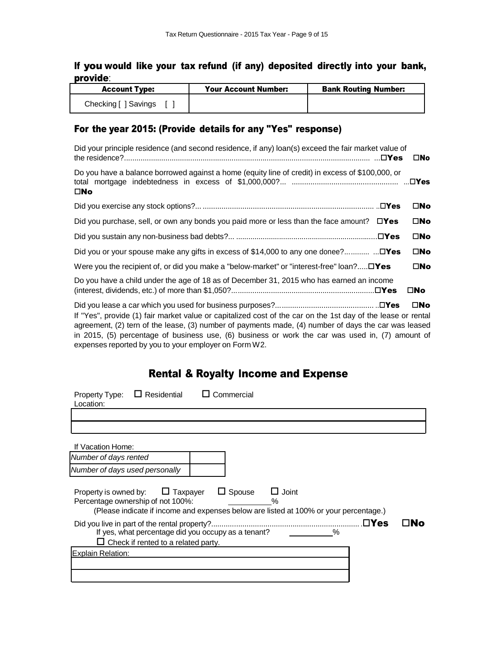# If you would like your tax refund (if any) deposited directly into your bank, provide:

| <b>Account Type:</b> | <b>Your Account Number:</b> | <b>Bank Routing Number:</b> |
|----------------------|-----------------------------|-----------------------------|
| Checking [ ] Savings |                             |                             |

# For the year 2015: (Provide details for any "Yes" response)

| Did your principle residence (and second residence, if any) loan(s) exceed the fair market value of                                                                                                                                                                                                                                                                               | $\square$ No |
|-----------------------------------------------------------------------------------------------------------------------------------------------------------------------------------------------------------------------------------------------------------------------------------------------------------------------------------------------------------------------------------|--------------|
| Do you have a balance borrowed against a home (equity line of credit) in excess of \$100,000, or<br>$\square$ No                                                                                                                                                                                                                                                                  |              |
|                                                                                                                                                                                                                                                                                                                                                                                   | $\square$ No |
| Did you purchase, sell, or own any bonds you paid more or less than the face amount? $\square Y$ es                                                                                                                                                                                                                                                                               | $\square$ No |
|                                                                                                                                                                                                                                                                                                                                                                                   | $\square$ No |
| Did you or your spouse make any gifts in excess of \$14,000 to any one donee?                                                                                                                                                                                                                                                                                                     | $\square$ No |
| Were you the recipient of, or did you make a "below-market" or "interest-free" loan? $\square Y$ es                                                                                                                                                                                                                                                                               | $\square$ No |
| Do you have a child under the age of 18 as of December 31, 2015 who has earned an income                                                                                                                                                                                                                                                                                          | $\square$ No |
| If "Yes", provide (1) fair market value or capitalized cost of the car on the 1st day of the lease or rental<br>agreement, (2) tern of the lease, (3) number of payments made, (4) number of days the car was leased<br>in 2015, (5) percentage of business use, (6) business or work the car was used in, (7) amount of<br>expenses reported by you to your employer on Form W2. | $\square$ No |

# Rental & Royalty Income and Expense

| $\Box$ Residential<br>Property Type:<br>Location:                                                 | Commercial                                                                                                                     |     |
|---------------------------------------------------------------------------------------------------|--------------------------------------------------------------------------------------------------------------------------------|-----|
|                                                                                                   |                                                                                                                                |     |
| If Vacation Home:                                                                                 |                                                                                                                                |     |
| Number of days rented                                                                             |                                                                                                                                |     |
| Number of days used personally                                                                    |                                                                                                                                |     |
| Taxpayer<br>Property is owned by:<br>Percentage ownership of not 100%:                            | $\Box$ Spouse<br>$\Box$ Joint<br>$\%$<br>(Please indicate if income and expenses below are listed at 100% or your percentage.) |     |
| If yes, what percentage did you occupy as a tenant?<br>$\Box$ Check if rented to a related party. | .⊟Yes<br>$\%$                                                                                                                  | ∃No |
| Explain Relation:                                                                                 |                                                                                                                                |     |
|                                                                                                   |                                                                                                                                |     |
|                                                                                                   |                                                                                                                                |     |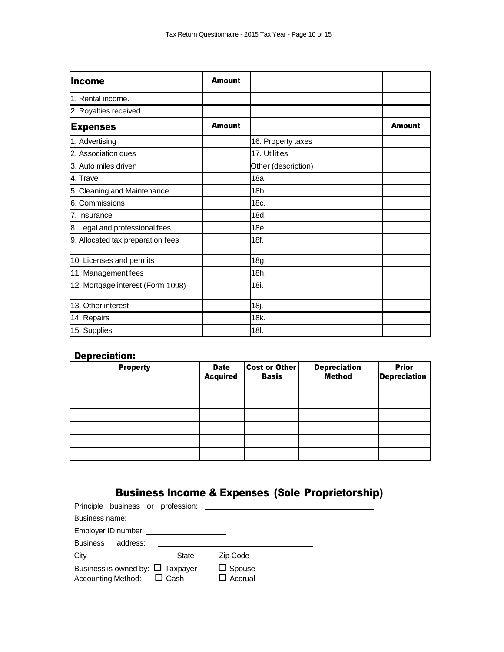| lincome                           | <b>Amount</b> |                     |               |
|-----------------------------------|---------------|---------------------|---------------|
| 1. Rental income.                 |               |                     |               |
| 2. Royalties received             |               |                     |               |
| <b>Expenses</b>                   | <b>Amount</b> |                     | <b>Amount</b> |
| 1. Advertising                    |               | 16. Property taxes  |               |
| 2. Association dues               |               | 17. Utilities       |               |
| 3. Auto miles driven              |               | Other (description) |               |
| 4. Travel                         |               | 18a.                |               |
| 5. Cleaning and Maintenance       |               | 18 <sub>b</sub>     |               |
| 6. Commissions                    |               | 18c.                |               |
| 7. Insurance                      |               | 18d.                |               |
| 8. Legal and professional fees    |               | 18e.                |               |
| 9. Allocated tax preparation fees |               | 18f.                |               |
| 10. Licenses and permits          |               | 18g.                |               |
| 11. Management fees               |               | 18h.                |               |
| 12. Mortgage interest (Form 1098) |               | 18i.                |               |
| 13. Other interest                |               | 18j.                |               |
| 14. Repairs                       |               | 18k.                |               |
| 15. Supplies                      |               | 18I.                |               |

# Depreciation:

| <b>Property</b> | <b>Date</b><br><b>Acquired</b> | <b>Cost or Other</b><br><b>Basis</b> | <b>Depreciation</b><br><b>Method</b> | <b>Prior</b><br><b>Depreciation</b> |
|-----------------|--------------------------------|--------------------------------------|--------------------------------------|-------------------------------------|
|                 |                                |                                      |                                      |                                     |
|                 |                                |                                      |                                      |                                     |
|                 |                                |                                      |                                      |                                     |
|                 |                                |                                      |                                      |                                     |
|                 |                                |                                      |                                      |                                     |
|                 |                                |                                      |                                      |                                     |

# Business Income & Expenses (Sole Proprietorship)

| Employer ID number: _______________________                             |                                 |  |
|-------------------------------------------------------------------------|---------------------------------|--|
| Business address:                                                       |                                 |  |
|                                                                         | City City City City Code        |  |
| Business is owned by: $\Box$ Taxpayer<br>Accounting Method: $\Box$ Cash | $\Box$ Spouse<br>$\Box$ Accrual |  |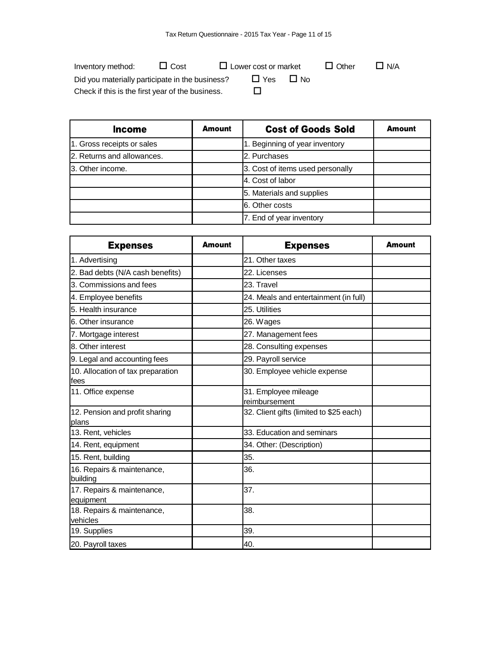| Inventory method:                                | $\Box$ Cost | $\Box$ Lower cost or market |                  | $\Box$ Other | $\Box$ N/A |
|--------------------------------------------------|-------------|-----------------------------|------------------|--------------|------------|
| Did you materially participate in the business?  |             | $\sqcup$ Yes                | 1 N <sub>0</sub> |              |            |
| Check if this is the first year of the business. |             |                             |                  |              |            |

| Income                     | Amount | <b>Cost of Goods Sold</b>        | <b>Amount</b> |
|----------------------------|--------|----------------------------------|---------------|
| 1. Gross receipts or sales |        | 1. Beginning of year inventory   |               |
| 2. Returns and allowances. |        | 2. Purchases                     |               |
| 3. Other income.           |        | 3. Cost of items used personally |               |
|                            |        | 4. Cost of labor                 |               |
|                            |        | 5. Materials and supplies        |               |
|                            |        | 6. Other costs                   |               |
|                            |        | 7. End of year inventory         |               |

| <b>Expenses</b>                            | <b>Amount</b> | <b>Expenses</b>                         | <b>Amount</b> |
|--------------------------------------------|---------------|-----------------------------------------|---------------|
| 1. Advertising                             |               | 21. Other taxes                         |               |
| 2. Bad debts (N/A cash benefits)           |               | 22. Licenses                            |               |
| 3. Commissions and fees                    |               | 23. Travel                              |               |
| 4. Employee benefits                       |               | 24. Meals and entertainment (in full)   |               |
| 5. Health insurance                        |               | 25. Utilities                           |               |
| 6. Other insurance                         |               | 26. Wages                               |               |
| 7. Mortgage interest                       |               | 27. Management fees                     |               |
| 8. Other interest                          |               | 28. Consulting expenses                 |               |
| 9. Legal and accounting fees               |               | 29. Payroll service                     |               |
| 10. Allocation of tax preparation<br>lfees |               | 30. Employee vehicle expense            |               |
| 11. Office expense                         |               | 31. Employee mileage<br>reimbursement   |               |
| 12. Pension and profit sharing<br>plans    |               | 32. Client gifts (limited to \$25 each) |               |
| 13. Rent, vehicles                         |               | 33. Education and seminars              |               |
| 14. Rent, equipment                        |               | 34. Other: (Description)                |               |
| 15. Rent, building                         |               | 35.                                     |               |
| 16. Repairs & maintenance,<br>building     |               | 36.                                     |               |
| 17. Repairs & maintenance,<br>equipment    |               | 37.                                     |               |
| 18. Repairs & maintenance,<br>vehicles     |               | 38.                                     |               |
| 19. Supplies                               |               | 39.                                     |               |
| 20. Payroll taxes                          |               | 40.                                     |               |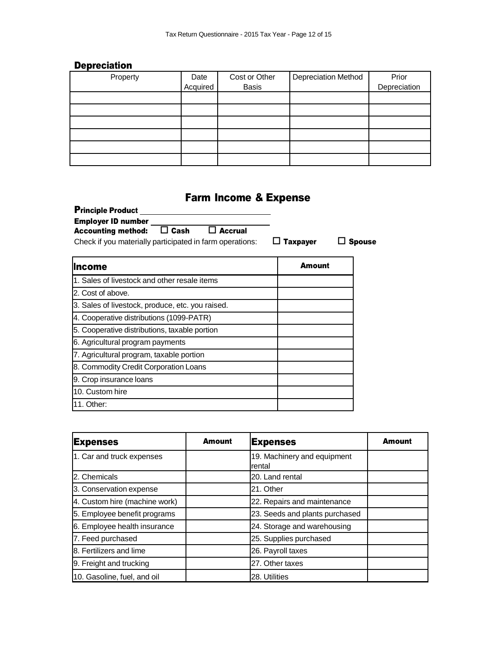# **Depreciation**

| Property | Date<br>Acquired | Cost or Other<br><b>Basis</b> | Depreciation Method | Prior<br>Depreciation |
|----------|------------------|-------------------------------|---------------------|-----------------------|
|          |                  |                               |                     |                       |
|          |                  |                               |                     |                       |
|          |                  |                               |                     |                       |
|          |                  |                               |                     |                       |
|          |                  |                               |                     |                       |
|          |                  |                               |                     |                       |

# Farm Income & Expense

| <b>Principle Product</b><br><b>Employer ID number</b><br>Cash<br><b>Accrual</b><br><b>Accounting method:</b><br>Check if you materially participated in farm operations: | <b>Taxpayer</b> | <b>Spouse</b> |
|--------------------------------------------------------------------------------------------------------------------------------------------------------------------------|-----------------|---------------|
| lincome                                                                                                                                                                  | Amount          |               |
| 1. Sales of livestock and other resale items                                                                                                                             |                 |               |
| 2. Cost of above.                                                                                                                                                        |                 |               |
| 3. Sales of livestock, produce, etc. you raised.                                                                                                                         |                 |               |
| 4. Cooperative distributions (1099-PATR)                                                                                                                                 |                 |               |
| 5. Cooperative distributions, taxable portion                                                                                                                            |                 |               |
| 6. Agricultural program payments                                                                                                                                         |                 |               |
| 7. Agricultural program, taxable portion                                                                                                                                 |                 |               |
| 8. Commodity Credit Corporation Loans                                                                                                                                    |                 |               |
| 9. Crop insurance loans                                                                                                                                                  |                 |               |
| 10. Custom hire                                                                                                                                                          |                 |               |
| 11. Other:                                                                                                                                                               |                 |               |

| <b>Expenses</b>               | <b>Amount</b> | <b>Expenses</b>                       | Amount |
|-------------------------------|---------------|---------------------------------------|--------|
| 1. Car and truck expenses     |               | 19. Machinery and equipment<br>rental |        |
| 2. Chemicals                  |               | 20. Land rental                       |        |
| 3. Conservation expense       |               | 21. Other                             |        |
| 4. Custom hire (machine work) |               | 22. Repairs and maintenance           |        |
| 5. Employee benefit programs  |               | 23. Seeds and plants purchased        |        |
| 6. Employee health insurance  |               | 24. Storage and warehousing           |        |
| 7. Feed purchased             |               | 25. Supplies purchased                |        |
| 8. Fertilizers and lime       |               | 26. Payroll taxes                     |        |
| 9. Freight and trucking       |               | 27. Other taxes                       |        |
| 10. Gasoline, fuel, and oil   |               | 28. Utilities                         |        |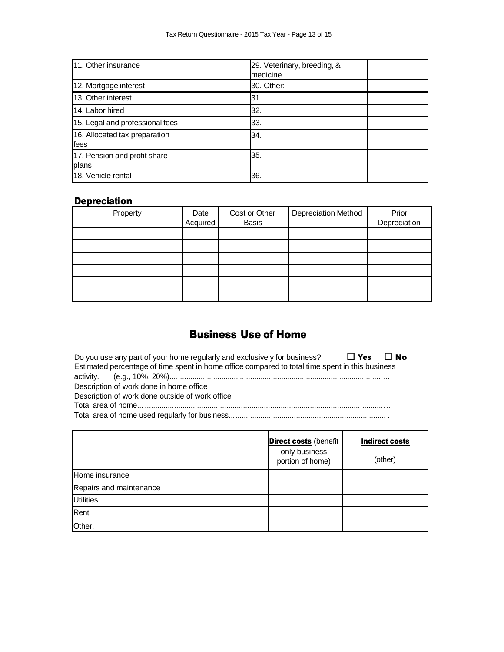| 11. Other insurance                   | medicine   | 29. Veterinary, breeding, & |  |
|---------------------------------------|------------|-----------------------------|--|
| 12. Mortgage interest                 | 30. Other: |                             |  |
| 13. Other interest                    | 31.        |                             |  |
| 14. Labor hired                       | 32.        |                             |  |
| 15. Legal and professional fees       | 33.        |                             |  |
| 16. Allocated tax preparation<br>fees | 34.        |                             |  |
| 17. Pension and profit share<br>plans | 35.        |                             |  |
| 18. Vehicle rental                    | 36.        |                             |  |

# **Depreciation**

| Property | Date<br>Acquired | Cost or Other<br><b>Basis</b> | <b>Depreciation Method</b> | Prior<br>Depreciation |
|----------|------------------|-------------------------------|----------------------------|-----------------------|
|          |                  |                               |                            |                       |
|          |                  |                               |                            |                       |
|          |                  |                               |                            |                       |
|          |                  |                               |                            |                       |
|          |                  |                               |                            |                       |
|          |                  |                               |                            |                       |

# Business Use of Home

| Do you use any part of your home regularly and exclusively for business? $\Box$ Yes $\Box$ No   |
|-------------------------------------------------------------------------------------------------|
| Estimated percentage of time spent in home office compared to total time spent in this business |
|                                                                                                 |
| Description of work done in home office                                                         |
| Description of work done outside of work office                                                 |
|                                                                                                 |
|                                                                                                 |

|                         | <b>Direct costs</b> (benefit<br>only business<br>portion of home) | <b>Indirect costs</b><br>(other) |
|-------------------------|-------------------------------------------------------------------|----------------------------------|
| Home insurance          |                                                                   |                                  |
| Repairs and maintenance |                                                                   |                                  |
| <b>Utilities</b>        |                                                                   |                                  |
| Rent                    |                                                                   |                                  |
| Other.                  |                                                                   |                                  |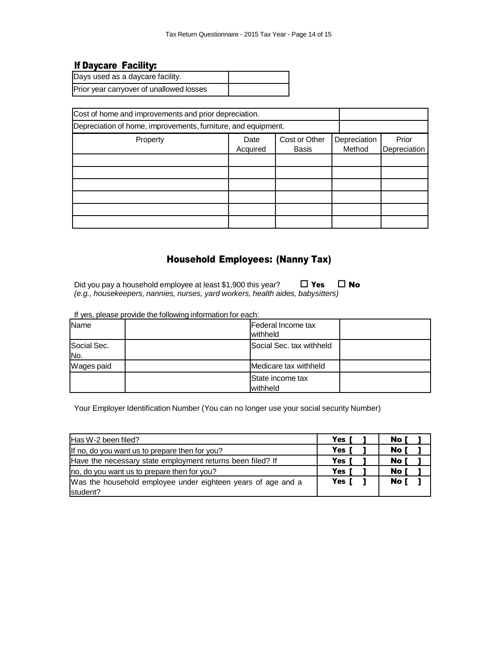# If Daycare Facility:

| Days used as a daycare facility.         |  |
|------------------------------------------|--|
| Prior year carryover of unallowed losses |  |

| Cost of home and improvements and prior depreciation.         |                  |                               |                        |                       |
|---------------------------------------------------------------|------------------|-------------------------------|------------------------|-----------------------|
| Depreciation of home, improvements, furniture, and equipment. |                  |                               |                        |                       |
| Property                                                      | Date<br>Acquired | Cost or Other<br><b>Basis</b> | Depreciation<br>Method | Prior<br>Depreciation |
|                                                               |                  |                               |                        |                       |
|                                                               |                  |                               |                        |                       |
|                                                               |                  |                               |                        |                       |
|                                                               |                  |                               |                        |                       |
|                                                               |                  |                               |                        |                       |
|                                                               |                  |                               |                        |                       |

# Household Employees: (Nanny Tax)

Did you pay a household employee at least \$1,900 this year?  $\Box$  Yes  $\Box$  No *(e.g., housekeepers, nannies, nurses, yard workers, health aides, babysitters)*

| Name               | Federal Income tax<br>withheld      |
|--------------------|-------------------------------------|
| Social Sec.<br>No. | Social Sec. tax withheld            |
| Wages paid         | Medicare tax withheld               |
|                    | <b>State income tax</b><br>withheld |

If yes, please provide the following information for each:

Your Employer Identification Number (You can no longer use your social security Number)

| Has W-2 been filed?                                          | <b>Yes</b> | No l |
|--------------------------------------------------------------|------------|------|
| If no, do you want us to prepare then for you?               | Yes        | No l |
| Have the necessary state employment returns been filed? If   | Yes        | No l |
| no, do you want us to prepare then for you?                  | Yes        | No I |
| Was the household employee under eighteen years of age and a | Yes        | No I |
| student?                                                     |            |      |